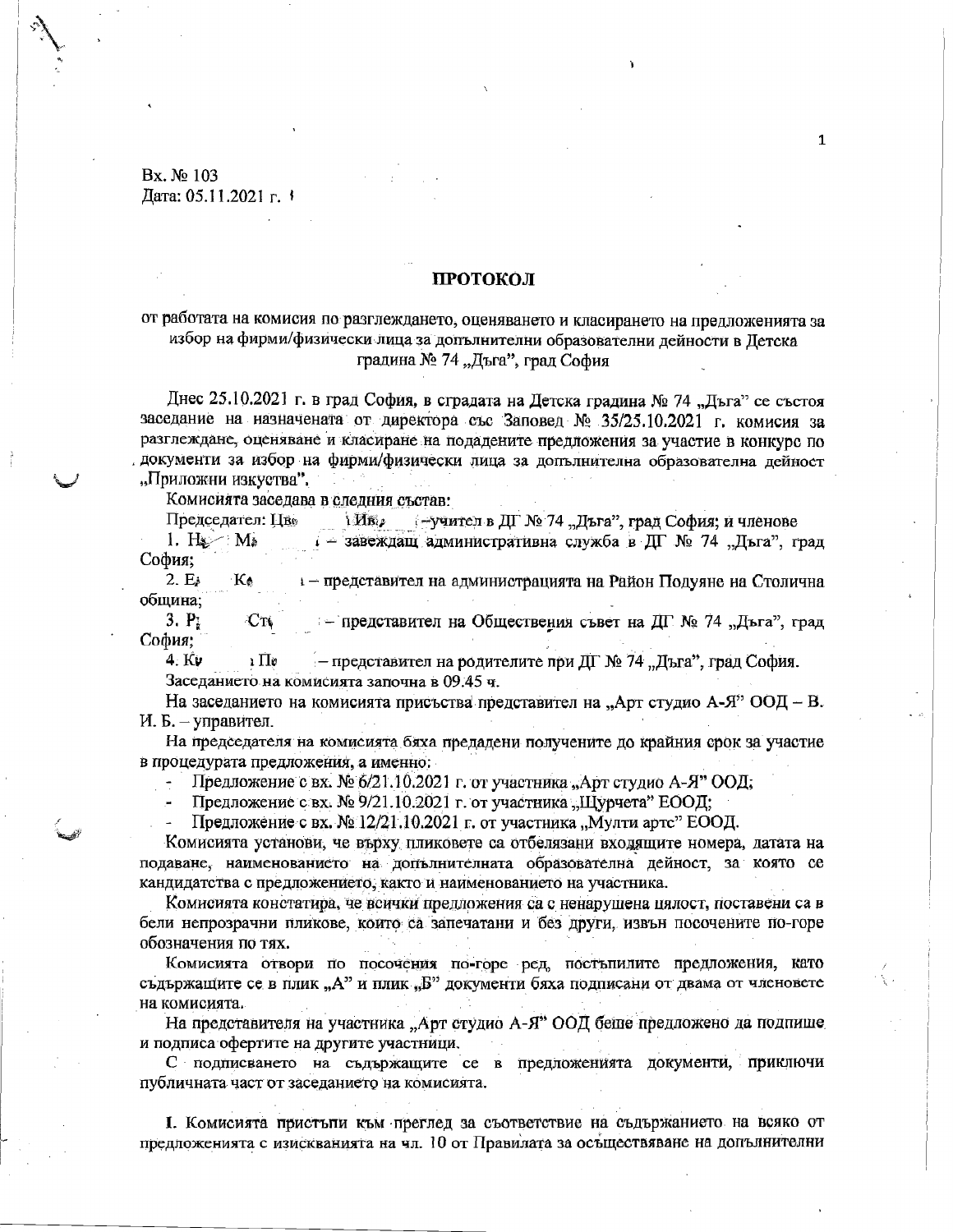Bx. No 103 Дата: 05.11.2021 г. 1

### ПРОТОКОЛ

# от работата на комисия по разглеждането, оценяването и класирането на предложенията за избор на фирми/физически лица за допълнителни образователни дейности в Детска градина № 74 "Дъга", град София

Днес 25.10.2021 г. в град София, в сградата на Детска градина № 74 "Дъга" се състоя заседание на назначената от директора със Заповед № 35/25.10.2021 г. комисия за разглеждане, оценяване и класиране на подадените предложения за участие в конкурс по документи за избор на фирми/физически лица за допълнителна образователна дейност "Приложни изкуства".

Комисията заседава в следния състав:

Председател: Цв. 1 Ив. - учител в ДГ № 74 "Дъга", град София; и членове

1.  $H_{\mathbb{Z}}$  M<sub>b</sub> 1 - завеждащ административна служба в ДГ № 74 "Дъга", град София;

1 - представител на администрацията на Район Подуяне на Столична  $2.E<sub>k</sub>$  $K_{\phi}$ община;

 $3. P<sub>i</sub>$  $Cr$ - представител на Обществения съвет на ДГ № 74 "Дъга", град София:

4. Kv 1 **N**o - представител на родителите при ДГ № 74 "Дъга", град София. Заседанието на комисията започна в 09.45 ч.

На заседанието на комисията присъства представител на "Арт студио А-Я" ООД – В. И. Б. - управител.

На председателя на комисията бяха предадени получените до крайния срок за участие в процедурата предложения, а именно:

Предложение с вх. № 6/21.10.2021 г. от участника "Арт студио А-Я" ООД;

Предложение с вх. № 9/21.10.2021 г. от участника "Щурчета" ЕООД;

Предложение с вх. № 12/21.10.2021 г. от участника "Мулти артс" ЕООД.

Комисията установи, че върху пликовете са отбелязани входящите номера, датата на подаване, наименованието на допълнителната образователна дейност, за която се кандидатства с предложението, както и наименованието на участника.

Комисията констатира, че всички предложения са с ненарушена цялост, поставени са в бели непрозрачни пликове, които са запечатани и без други, извън посочените по-горе обозначения по тях.

Комисията отвори по посочения по-горе ред, постыпилите предложения, като съдържащите се в плик "А" и плик "Б" документи бяха подписани от двама от членовете на комисията.

На представителя на участника "Арт студио А-Я" ООД беше предложено да подпише и подписа офертите на другите участници.

С подписването на съдържащите се в предложенията документи, приключи публичната част от заседанието на комисията.

І. Комисията пристъпи към преглед за съответствие на съдържанието на всяко от предложенията с изискванията на чл. 10 от Правилата за осъществяване на допълнителни

 $\mathbf{1}$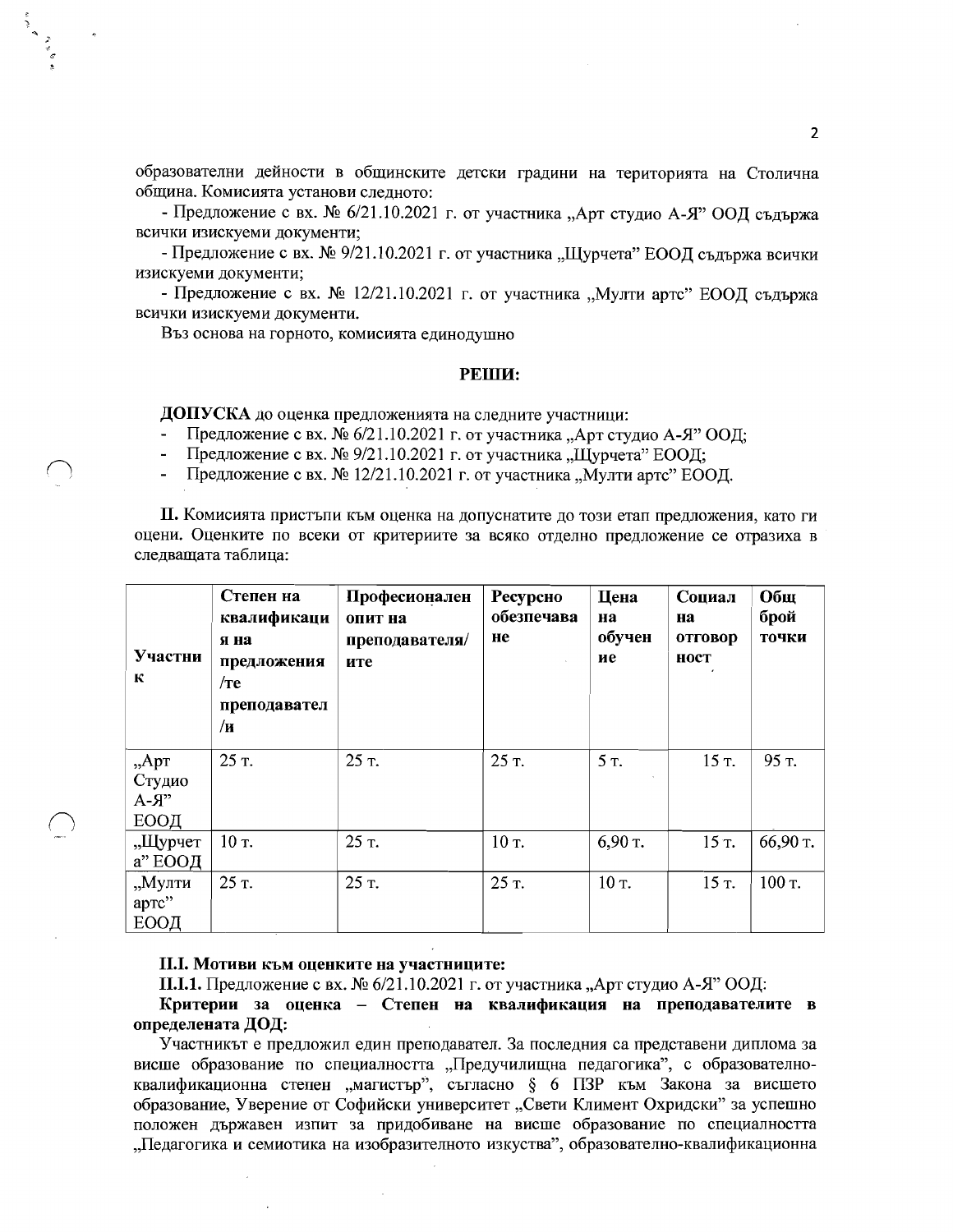образователни дейности в общинските детски градини на територията на Столична община. Комисията установи следното:

- Предложение с вх. № 6/21.10.2021 г. от участника "Арт студио А-Я" ООД съдържа всички изискуеми документи;

- Предложение с вх. № 9/21.10.2021 г. от участника "Щурчета" ЕООД съдържа всички изискуеми документи;

- Предложение с вх. № 12/21.10.2021 г. от участника "Мулти артс" ЕООД съдържа всички изискуеми документи.

Въз основа на горното, комисията единодушно

#### PEIII<sub>I</sub>:

ДОПУСКА до оценка предложенията на следните участници:

- Предложение с вх. № 6/21.10.2021 г. от участника "Арт студио А-Я" ООД;
- Предложение с вх. № 9/21.10.2021 г. от участника "Щурчета" ЕООД;
- Предложение с вх. № 12/21.10.2021 г. от участника "Мулти артс" ЕООД.

П. Комисията пристъпи към оценка на допуснатите до този етап предложения, като ги оцени. Оценките по всеки от критериите за всяко отделно предложение се отразиха в следващата таблица:

| Участни<br>К                            | Степен на<br>квалификаци<br>я на<br>предложения<br>$/$ re<br>преподавател<br>/и | Професионален<br>опит на<br>преподавателя/<br>ите | Ресурсно<br>обезпечава<br>He | Цена<br>на<br>обучен<br>ие | Социал<br>на<br>отговор<br>ност | Общ<br>брой<br>точки |
|-----------------------------------------|---------------------------------------------------------------------------------|---------------------------------------------------|------------------------------|----------------------------|---------------------------------|----------------------|
| $, A$ pr<br>Студио<br>$A - A$ "<br>ЕООД | 25 T.                                                                           | 25 т.                                             | 25 T.                        | 5 T.                       | 15 T.                           | 95 т.                |
| "Щурчет<br>а" ЕООД                      | $10T$ .                                                                         | 25 т.                                             | 10 т.                        | 6,90 т.                    | 15 T.                           | 66,90 т.             |
| "Мулти<br>артс"<br>ЕООД                 | 25 T.                                                                           | 25 т.                                             | 25 т.                        | 10 т.                      | 15 T.                           | 100 т.               |

#### II.I. Мотиви към оценките на участниците:

П.І.1. Предложение с вх. № 6/21.10.2021 г. от участника "Арт студио А-Я" ООД:

Критерии за оценка - Степен на квалификация на преподавателите в определената ДОД:

Участникът е предложил един преподавател. За последния са представени диплома за висше образование по специалността "Предучилищна педагогика", с образователноквалификационна степен "магистър", съгласно § 6 ПЗР към Закона за висшето образование, Уверение от Софийски университет "Свети Климент Охридски" за успешно положен държавен изпит за придобиване на висше образование по специалността "Педагогика и семиотика на изобразителното изкуства", образователно-квалификационна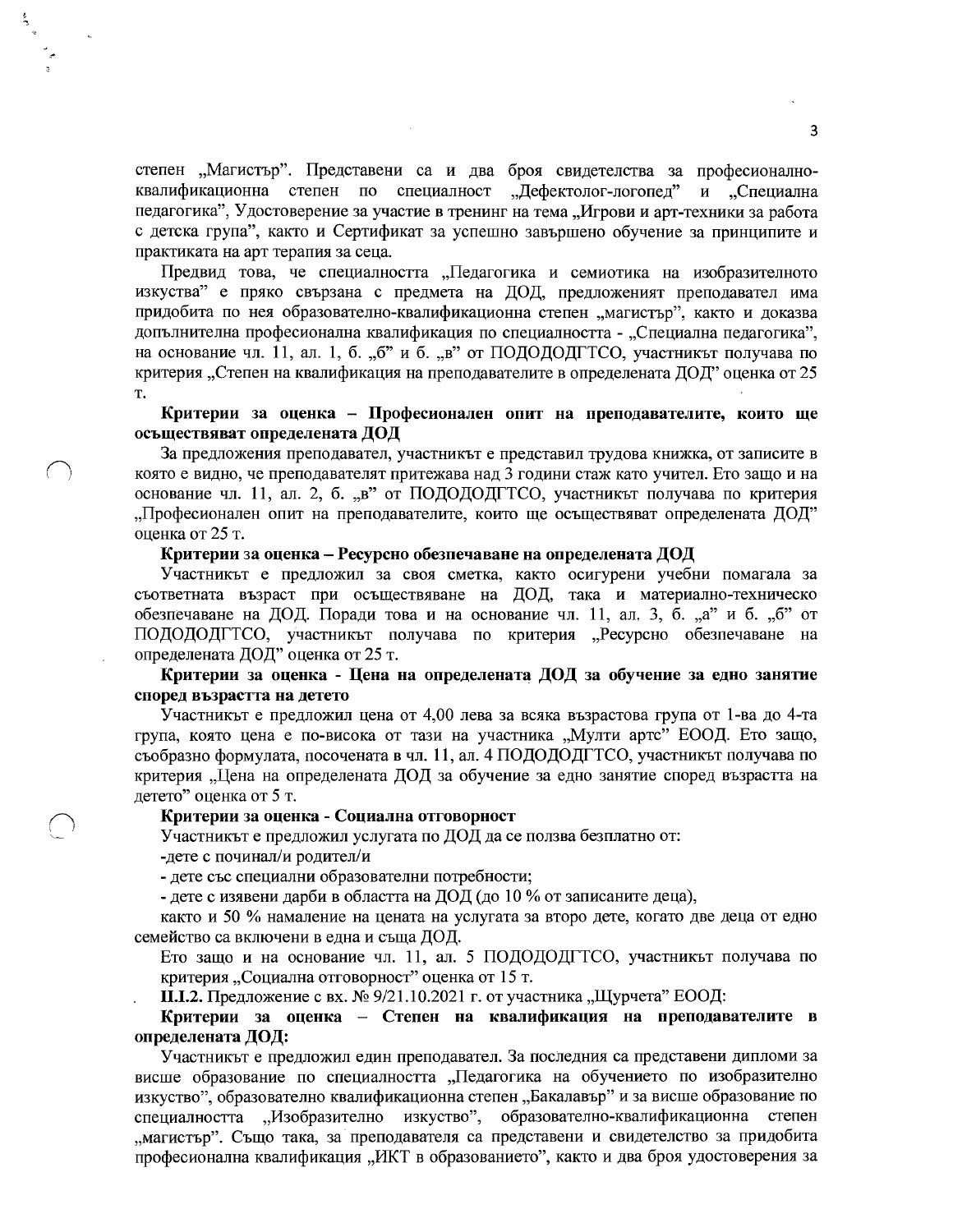степен "Магистър". Представени са и два броя свидетелства за професионалноквалификационна степен по специалност "Дефектолог-логопед" и "Специална педагогика", Удостоверение за участие в тренинг на тема "Игрови и арт-техники за работа с детска група", както и Сертификат за успешно завършено обучение за принципите и практиката на арт терапия за сеца.

Предвид това, че специалността "Педагогика и семиотика на изобразителното изкуства" е пряко свързана с предмета на ДОД, предложеният преподавател има придобита по нея образователно-квалификационна степен "магистър", както и доказва допълнителна професионална квалификация по специалността - "Специална педагогика", на основание чл. 11, ал. 1, б. "б" и б. "в" от ПОДОДОДГТСО, участникът получава по критерия "Степен на квалификация на преподавателите в определената ДОД" оценка от 25 T.

Критерии за оценка - Професионален опит на преподавателите, които ще осъществяват определената ДОД

За предложения преподавател, участникът е представил трудова книжка, от записите в която е видно, че преподавателят притежава над 3 години стаж като учител. Ето защо и на основание чл. 11, ал. 2, б. "в" от ПОДОДОДГТСО, участникът получава по критерия "Професионален опит на преподавателите, които ще осъществяват определената ДОД" оценка от 25 т.

#### Критерии за оценка – Ресурсно обезпечаване на определената ДОД

Участникът е предложил за своя сметка, както осигурени учебни помагала за съответната възраст при осъществяване на ДОД, така и материално-техническо обезпечаване на ДОД. Поради това и на основание чл. 11, ал. 3, б. "а" и б. "б" от ПОДОДОДГТСО, участникът получава по критерия "Ресурсно обезпечаване на определената ДОД" оценка от 25 т.

Критерии за оценка - Цена на определената ДОД за обучение за едно занятие според възрастта на детето

Участникът е предложил цена от 4,00 лева за всяка възрастова група от 1-ва до 4-та група, която цена е по-висока от тази на участника "Мулти артс" ЕООД. Ето защо, съобразно формулата, посочената в чл. 11, ал. 4 ПОДОДОДГТСО, участникът получава по критерия "Цена на определената ДОД за обучение за едно занятие според възрастта на детето" оценка от 5 т.

#### Критерии за оценка - Социална отговорност

Участникът е предложил услугата по ДОД да се ползва безплатно от: -дете с починал/и родител/и

- дете със специални образователни потребности;

- дете с изявени дарби в областта на ДОД (до 10 % от записаните деца),

както и 50 % намаление на цената на услугата за второ дете, когато две деца от едно семейство са включени в една и съща ДОД.

Ето защо и на основание чл. 11, ал. 5 ПОДОДОДГТСО, участникът получава по критерия "Социална отговорност" оценка от 15 т.

П.І.2. Предложение с вх. № 9/21.10.2021 г. от участника "Щурчета" ЕООД:

Критерии за оценка – Степен на квалификация на преподавателите в определената ДОД:

Участникът е предложил един преподавател. За последния са представени дипломи за висше образование по специалността "Педагогика на обучението по изобразително изкуство", образователно квалификационна степен "Бакалавър" и за висше образование по специалността "Изобразително изкуство", образователно-квалификационна степен "магистър". Също така, за преподавателя са представени и свидетелство за придобита професионална квалификация "ИКТ в образованието", както и два броя удостоверения за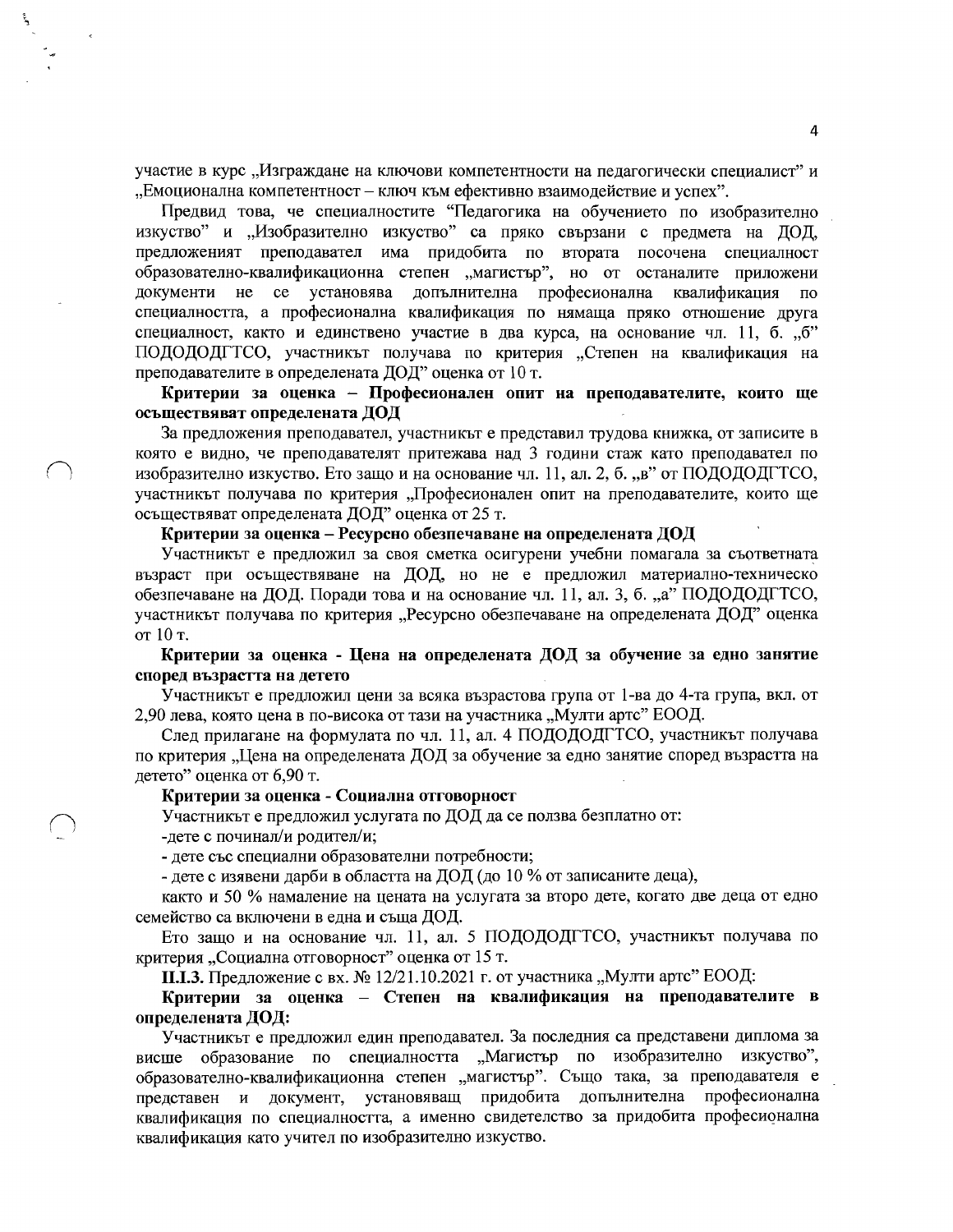участие в курс "Изграждане на ключови компетентности на педагогически специалист" и "Емоционална компетентност - ключ към ефективно взаимодействие и успех".

Предвид това, че специалностите "Педагогика на обучението по изобразително изкуство" и "Изобразително изкуство" са пряко свързани с предмета на ДОД, предложеният преподавател има придобита по втората посочена специалност образователно-квалификационна степен "магистър", но от останалите приложени документи не се установява допълнителна професионална квалификация специалността, а професионална квалификация по нямаша пряко отношение друга специалност, както и единствено участие в два курса, на основание чл. 11, б. "б" ПОЛОДОДСТСО, участникът получава по критерия "Степен на квалификация на преподавателите в определената ДОД" оценка от 10 т.

Критерии за оценка - Професионален опит на преподавателите, които ще осъществяват определената ДОД

За предложения преподавател, участникът е представил трудова книжка, от записите в която е видно, че преподавателят притежава над 3 години стаж като преподавател по изобразително изкуство. Ето защо и на основание чл. 11, ал. 2, б. "в" от ПОДОДОДГТСО, участникът получава по критерия "Професионален опит на преподавателите, които ще осъществяват определената ДОД" оценка от 25 т.

Критерии за оценка – Ресурсно обезпечаване на определената ДОД

Участникът е предложил за своя сметка осигурени учебни помагала за съответната възраст при осъществяване на ДОД, но не е предложил материално-техническо обезпечаване на ДОД. Поради това и на основание чл. 11, ал. 3, б. "а" ПОДОДОДГТСО, участникът получава по критерия "Ресурсно обезпечаване на определената ДОД" оценка от 10 т.

Критерии за оценка - Цена на определената ДОД за обучение за едно занятие според възрастта на детето

Участникът е предложил цени за всяка възрастова група от 1-ва до 4-та група, вкл. от 2,90 лева, която цена в по-висока от тази на участника "Мулти артс" ЕООД.

След прилагане на формулата по чл. 11, ал. 4 ПОДОДОДГТСО, участникът получава по критерия "Цена на определената ДОД за обучение за едно занятие според възрастта на летето" оценка от 6.90 т.

### Критерии за оценка - Социална отговорност

Участникът е предложил услугата по ДОД да се ползва безплатно от: -дете с починал/и родител/и;

- дете със специални образователни потребности;

- дете с изявени дарби в областта на ДОД (до 10 % от записаните деца),

както и 50 % намаление на цената на услугата за второ дете, когато две деца от едно семейство са включени в една и съща ДОД.

Ето защо и на основание чл. 11, ал. 5 ПОДОДОДГТСО, участникът получава по критерия "Социална отговорност" оценка от 15 т.

П.І.З. Предложение с вх. № 12/21.10.2021 г. от участника "Мулти артс" ЕООД:

Критерии за оценка - Степен на квалификация на преподавателите в определената ДОД:

Участникът е предложил един преподавател. За последния са представени диплома за висше образование по специалността "Магистър по изобразително изкуство", образователно-квалификационна степен "магистър". Също така, за преподавателя е представен и документ, установяващ придобита допълнителна професионална квалификация по специалността, а именно свидетелство за придобита професионална квалификация като учител по изобразително изкуство.